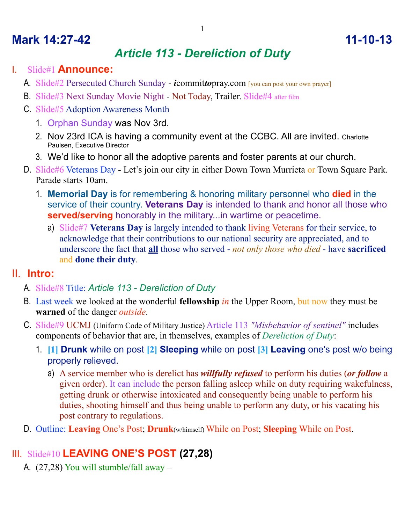## **Mark 14:27-42 11-10-13**

# *Article 113 - Dereliction of Duty*

#### I. Slide#1 **Announce:**

- A. Slide#2 Persecuted Church Sunday *i*commit*to*pray.com [you can post your own prayer]
- B. Slide#3 Next Sunday Movie Night Not Today, Trailer. Slide#4 after film
- C. Slide#5 Adoption Awareness Month
	- 1. Orphan Sunday was Nov 3rd.
	- 2. Nov 23rd ICA is having a community event at the CCBC. All are invited. Charlotte Paulsen, Executive Director
	- 3. We'd like to honor all the adoptive parents and foster parents at our church.
- D. Slide#6 Veterans Day Let's join our city in either Down Town Murrieta or Town Square Park. Parade starts 10am.
	- 1. **Memorial Day** is for remembering & honoring military personnel who **died** in the service of their country. **Veterans Day** is intended to thank and honor all those who **served/serving** honorably in the military...in wartime or peacetime.
		- a) Slide#7 **Veterans Day** is largely intended to thank living Veterans for their service, to acknowledge that their contributions to our national security are appreciated, and to underscore the fact that **all** those who served - *not only those who died* - have **sacrificed** and **done their duty**.

### II. **Intro:**

- A. Slide#8 Title: *Article 113 Dereliction of Duty*
- B. Last week we looked at the wonderful **fellowship** *in* the Upper Room, but now they must be **warned** of the danger *outside*.
- C. Slide#9 UCMJ (Uniform Code of Military Justice) Article 113 *"Misbehavior of sentinel"* includes components of behavior that are, in themselves, examples of *Dereliction of Duty*:
	- 1. **[1] Drunk** while on post **[2] Sleeping** while on post **[3] Leaving** one's post w/o being properly relieved.
		- a) A service member who is derelict has *willfully refused* to perform his duties (*or follow* a given order). It can include the person falling asleep while on duty requiring wakefulness, getting drunk or otherwise intoxicated and consequently being unable to perform his duties, shooting himself and thus being unable to perform any duty, or his vacating his post contrary to regulations.
- D. Outline: **Leaving** One's Post; **Drunk**(w/himself) While on Post; **Sleeping** While on Post.

## III. Slide#10 **LEAVING ONE'S POST (27,28)**

A. (27,28) You will stumble/fall away –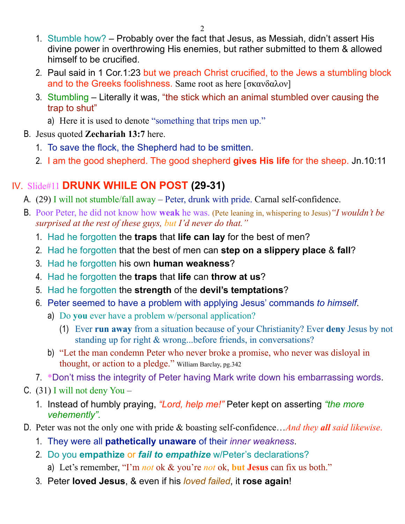- 1. Stumble how? Probably over the fact that Jesus, as Messiah, didn't assert His divine power in overthrowing His enemies, but rather submitted to them & allowed himself to be crucified.
- 2. Paul said in 1 Cor.1:23 but we preach Christ crucified, to the Jews a stumbling block and to the Greeks foolishness. Same root as here [σκανδαλον]
- 3. Stumbling Literally it was, "the stick which an animal stumbled over causing the trap to shut"
	- a) Here it is used to denote "something that trips men up."
- B. Jesus quoted **Zechariah 13:7** here.
	- 1. To save the flock, the Shepherd had to be smitten.
	- 2. I am the good shepherd. The good shepherd **gives His life** for the sheep. Jn.10:11

# IV. Slide#11 **DRUNK WHILE ON POST (29-31)**

- A. (29) I will not stumble/fall away Peter, drunk with pride. Carnal self-confidence.
- B. Poor Peter, he did not know how **weak** he was. (Pete leaning in, whispering to Jesus)*"I wouldn't be surprised at the rest of these guys, but I'd never do that."* 
	- 1. Had he forgotten the **traps** that **life can lay** for the best of men?
	- 2. Had he forgotten that the best of men can **step on a slippery place** & **fall**?
	- 3. Had he forgotten his own **human weakness**?
	- 4. Had he forgotten the **traps** that **life** can **throw at us**?
	- 5. Had he forgotten the **strength** of the **devil's temptations**?
	- 6. Peter seemed to have a problem with applying Jesus' commands *to himself*.
		- a) Do **you** ever have a problem w/personal application?
			- (1) Ever **run away** from a situation because of your Christianity? Ever **deny** Jesus by not standing up for right & wrong...before friends, in conversations?
		- b) "Let the man condemn Peter who never broke a promise, who never was disloyal in thought, or action to a pledge." William Barclay, pg.342
	- 7. \*Don't miss the integrity of Peter having Mark write down his embarrassing words.
- C.  $(31)$  I will not deny You
	- 1. Instead of humbly praying, *"Lord, help me!"* Peter kept on asserting *"the more vehemently".*
- D. Peter was not the only one with pride & boasting self-confidence…*And they all said likewise*.
	- 1. They were all **pathetically unaware** of their *inner weakness*.
	- 2. Do you **empathize** or *fail to empathize* w/Peter's declarations?
		- a) Let's remember, "I'm *not* ok & you're *not* ok, **but Jesus** can fix us both."
	- 3. Peter **loved Jesus**, & even if his *loved failed*, it **rose again**!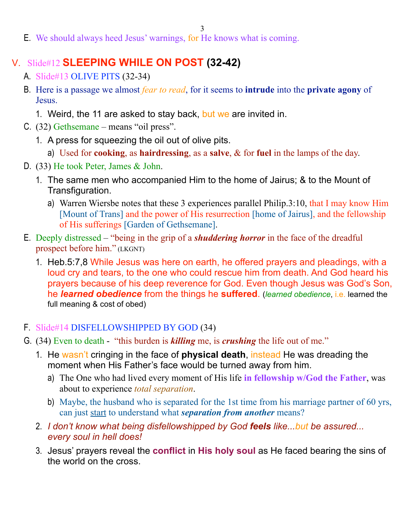3

E. We should always heed Jesus' warnings, for He knows what is coming.

## V. Slide#12 **SLEEPING WHILE ON POST (32-42)**

- A. Slide#13 OLIVE PITS (32-34)
- B. Here is a passage we almost *fear to read*, for it seems to **intrude** into the **private agony** of Jesus.
	- 1. Weird, the 11 are asked to stay back, but we are invited in.
- C. (32) Gethsemane means "oil press".
	- 1. A press for squeezing the oil out of olive pits.
		- a) Used for **cooking**, as **hairdressing**, as a **salve**, & for **fuel** in the lamps of the day.
- D. (33) He took Peter, James & John.
	- 1. The same men who accompanied Him to the home of Jairus; & to the Mount of Transfiguration.
		- a) Warren Wiersbe notes that these 3 experiences parallel Philip.3:10, that I may know Him [Mount of Trans] and the power of His resurrection [home of Jairus], and the fellowship of His sufferings [Garden of Gethsemane].
- E. Deeply distressed "being in the grip of a *shuddering horror* in the face of the dreadful prospect before him." (LKGNT)
	- 1. Heb.5:7,8 While Jesus was here on earth, he offered prayers and pleadings, with a loud cry and tears, to the one who could rescue him from death. And God heard his prayers because of his deep reverence for God. Even though Jesus was God's Son, he *learned obedience* from the things he **suffered**. (*learned obedience*, i.e. learned the full meaning & cost of obed)

### F. Slide#14 DISFELLOWSHIPPED BY GOD (34)

- G. (34) Even to death "this burden is *killing* me, is *crushing* the life out of me."
	- 1. He wasn't cringing in the face of **physical death**, instead He was dreading the moment when His Father's face would be turned away from him.
		- a) The One who had lived every moment of His life **in fellowship w/God the Father**, was about to experience *total separation*.
		- b) Maybe, the husband who is separated for the 1st time from his marriage partner of 60 yrs, can just start to understand what *separation from another* means?
	- 2. *I don't know what being disfellowshipped by God feels like...but be assured... every soul in hell does!*
	- 3. Jesus' prayers reveal the **conflict** in **His holy soul** as He faced bearing the sins of the world on the cross.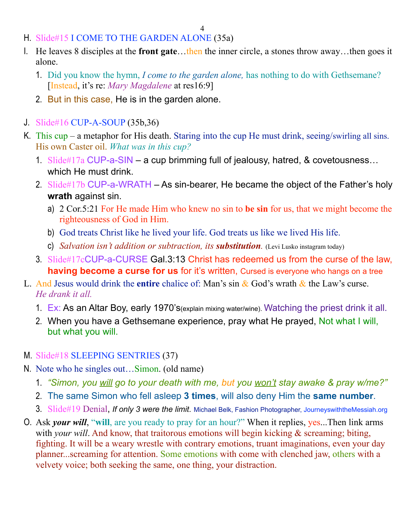- H. Slide#15 I COME TO THE GARDEN ALONE (35a)
- I. He leaves 8 disciples at the **front gate**…then the inner circle, a stones throw away…then goes it alone.
	- 1. Did you know the hymn, *I come to the garden alone,* has nothing to do with Gethsemane? [Instead, it's re: *Mary Magdalene* at res16:9]
	- 2. But in this case, He is in the garden alone.
- J. Slide#16 CUP-A-SOUP (35b,36)
- K. This cup a metaphor for His death. Staring into the cup He must drink, seeing/swirling all sins. His own Caster oil. *What was in this cup?*
	- 1. Slide#17a CUP-a-SIN a cup brimming full of jealousy, hatred, & covetousness… which He must drink.
	- 2. Slide#17b CUP-a-WRATH As sin-bearer, He became the object of the Father's holy **wrath** against sin.
		- a) 2 Cor.5:21 For He made Him who knew no sin to **be sin** for us, that we might become the righteousness of God in Him.
		- b) God treats Christ like he lived your life. God treats us like we lived His life.
		- c) *Salvation isn't addition or subtraction, its substitution.* (Levi Lusko instagram today)
	- 3. Slide#17cCUP-a-CURSE Gal.3:13 Christ has redeemed us from the curse of the law, **having become a curse for us** for it's written, Cursed is everyone who hangs on a tree
- L. And Jesus would drink the **entire** chalice of: Man's sin & God's wrath & the Law's curse. *He drank it all.*
	- 1. Ex: As an Altar Boy, early 1970's(explain mixing water/wine). Watching the priest drink it all.
	- 2. When you have a Gethsemane experience, pray what He prayed, Not what I will, but what you will.
- M. Slide#18 SLEEPING SENTRIES (37)
- N. Note who he singles out…Simon. (old name)
	- 1. *"Simon, you will go to your death with me, but you won't stay awake & pray w/me?"*
	- 2. The same Simon who fell asleep **3 times**, will also deny Him the **same number**.
	- 3. Slide#19 Denial, *If only 3 were the limit*. Michael Belk, Fashion Photographer, JourneyswiththeMessiah.org
- O. Ask *your will*, "**will**, are you ready to pray for an hour?" When it replies, yes...Then link arms with *your will*. And know, that traitorous emotions will begin kicking & screaming; biting, fighting. It will be a weary wrestle with contrary emotions, truant imaginations, even your day planner...screaming for attention. Some emotions with come with clenched jaw, others with a velvety voice; both seeking the same, one thing, your distraction.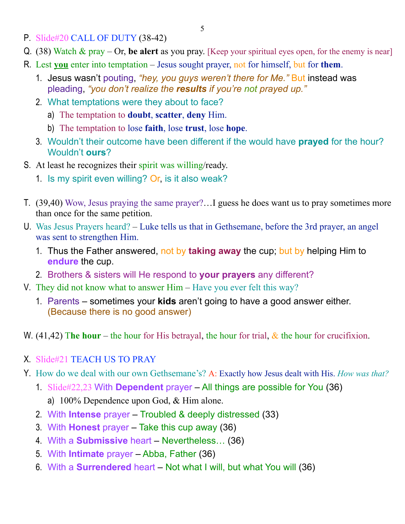- P. Slide#20 CALL OF DUTY (38-42)
- Q. (38) Watch & pray Or, **be alert** as you pray. [Keep your spiritual eyes open, for the enemy is near]
- R. Lest **you** enter into temptation Jesus sought prayer, not for himself, but for **them**.
	- 1. Jesus wasn't pouting, *"hey, you guys weren't there for Me."* But instead was pleading, *"you don't realize the results if you're not prayed up."*
	- 2. What temptations were they about to face?
		- a) The temptation to **doubt**, **scatter**, **deny** Him.
		- b) The temptation to lose **faith**, lose **trust**, lose **hope**.
	- 3. Wouldn't their outcome have been different if the would have **prayed** for the hour? Wouldn't **ours**?
- S. At least he recognizes their spirit was willing/ready.
	- 1. Is my spirit even willing? Or, is it also weak?
- T. (39,40) Wow, Jesus praying the same prayer?…I guess he does want us to pray sometimes more than once for the same petition.
- U. Was Jesus Prayers heard? Luke tells us that in Gethsemane, before the 3rd prayer, an angel was sent to strengthen Him.
	- 1. Thus the Father answered, not by **taking away** the cup; but by helping Him to **endure** the cup.
	- 2. Brothers & sisters will He respond to **your prayers** any different?
- V. They did not know what to answer Him Have you ever felt this way?
	- 1. Parents sometimes your **kids** aren't going to have a good answer either. (Because there is no good answer)
- W. (41,42) The hour the hour for His betrayal, the hour for trial,  $\&$  the hour for crucifixion.
- X. Slide#21 TEACH US TO PRAY
- Y. How do we deal with our own Gethsemane's? A: Exactly how Jesus dealt with His. *How was that?*
	- 1. Slide#22,23 With **Dependent** prayer All things are possible for You (36)
		- a) 100% Dependence upon God, & Him alone.
	- 2. With **Intense** prayer Troubled & deeply distressed (33)
	- 3. With **Honest** prayer Take this cup away (36)
	- 4. With a **Submissive** heart Nevertheless… (36)
	- 5. With **Intimate** prayer Abba, Father (36)
	- 6. With a **Surrendered** heart Not what I will, but what You will (36)